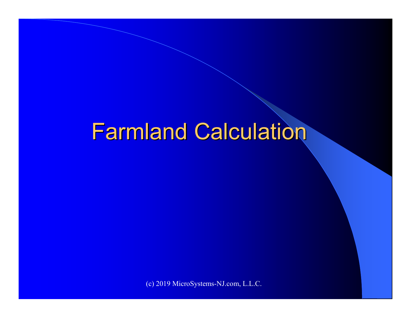# Farmland Calculation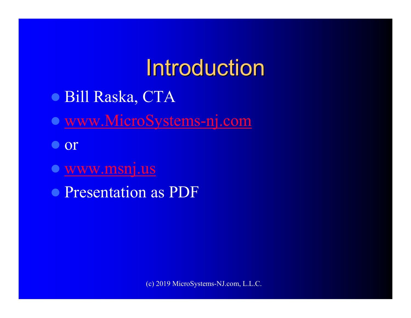# Introduction

- Bill Raska, CTA
- www.MicroSystems-nj.com
- $\bullet$  or
- $\bullet$ www.msnj.us
- Presentation as PDF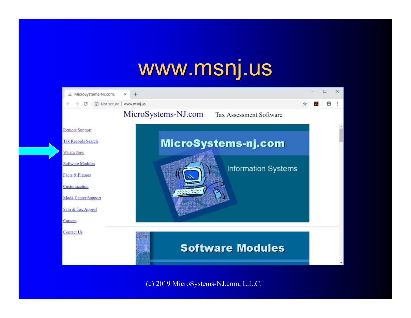#### www.msnj.us

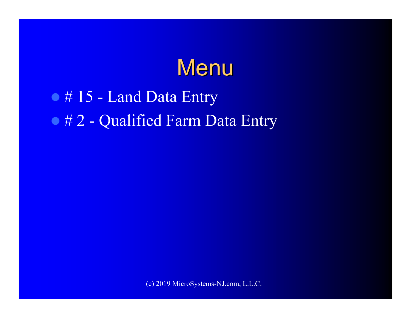#### **Menu**

# • # 15 - Land Data Entry • # 2 - Qualified Farm Data Entry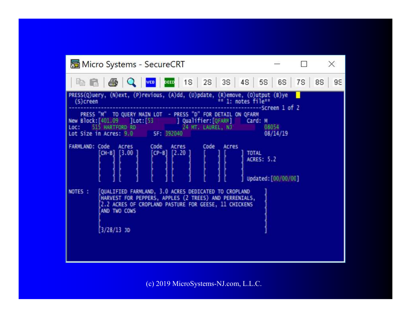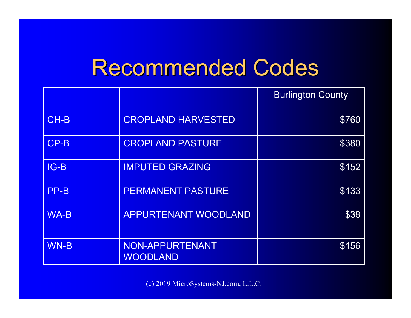## Recommended Codes

|             |                                    | <b>Burlington County</b> |
|-------------|------------------------------------|--------------------------|
| CH-B        | <b>CROPLAND HARVESTED</b>          | \$760                    |
| $CP-B$      | <b>CROPLAND PASTURE</b>            | \$380                    |
| $IG-B$      | <b>IMPUTED GRAZING</b>             | \$152                    |
| PP-B        | <b>PERMANENT PASTURE</b>           | \$133                    |
| <b>WA-B</b> | <b>APPURTENANT WOODLAND</b>        | \$38                     |
| <b>WN-B</b> | NON-APPURTENANT<br><b>WOODLAND</b> | \$156                    |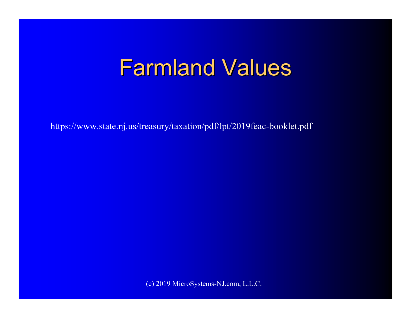# Farmland Values

https://www.state.nj.us/treasury/taxation/pdf/lpt/2019feac-booklet.pdf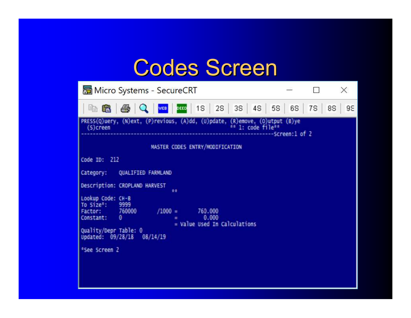## Codes Screen

|                                                                                                                                  | Micro Systems - SecureCRT                                                                                         |  | $\times$ |
|----------------------------------------------------------------------------------------------------------------------------------|-------------------------------------------------------------------------------------------------------------------|--|----------|
|                                                                                                                                  |                                                                                                                   |  | 95       |
| $(5)$ creen                                                                                                                      | PRESS(Q)uery, (N)ext, (P)revious, (A)dd, (U)pdate, (R)emove, (O)utput (B)ye (S)creen<br>------------Screen:1 of 2 |  |          |
|                                                                                                                                  | MASTER CODES ENTRY/MODIFICATION                                                                                   |  |          |
| Code ID: 212                                                                                                                     |                                                                                                                   |  |          |
|                                                                                                                                  | Category: QUALIFIED FARMLAND                                                                                      |  |          |
|                                                                                                                                  | Description: CROPLAND HARVEST<br>青春                                                                               |  |          |
| Lookup Code: CH-B<br>To Size <sup>#</sup> :<br>Factor: 760000<br>Constant:<br>Quality/Depr Table: 0<br><sup>a</sup> See Screen 2 | 9999<br>$/1000 =$<br>760,000<br>0.000<br>- 0<br>= Value Used In Calculations<br>Updated: 09/28/18 08/14/19        |  |          |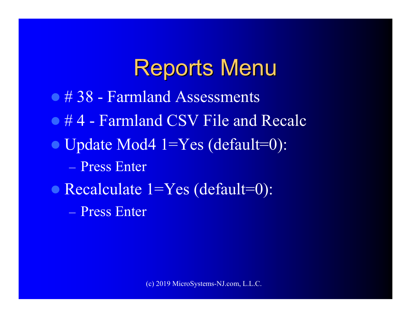#### Reports Menu

- 0 # 38 Farmland Assessments
- #4 Farmland CSV File and Recalc
- Update Mod4 1=Yes (default=0):
	- $\mathcal{L}_{\mathcal{A}}$ – Press Enter
- Recalculate 1=Yes (default=0):
	- <u>– Liberator Angelski, politik a po</u> – Press Enter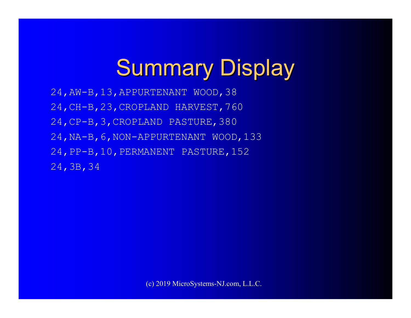# **Summary Display**

24,AW-B,13,APPURTENANT WOOD,38 24,CH-B,23,CROPLAND HARVEST,760 24,CP-B,3,CROPLAND PASTURE,380 24,NA-B,6,NON-APPURTENANT WOOD,133 24,PP-B,10,PERMANENT PASTURE,152 24,3B,34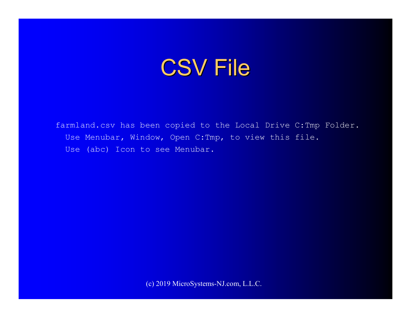## CSV File

farmland.csv has been copied to the Local Drive C:Tmp Folder. Use Menubar, Window, Open C:Tmp, to view this file. Use (abc) Icon to see Menubar.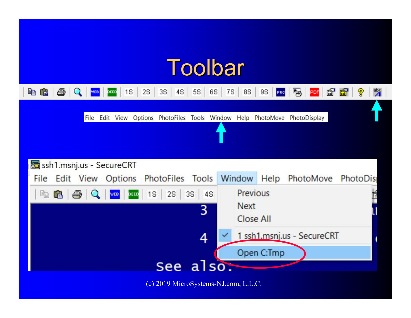# Toolbar

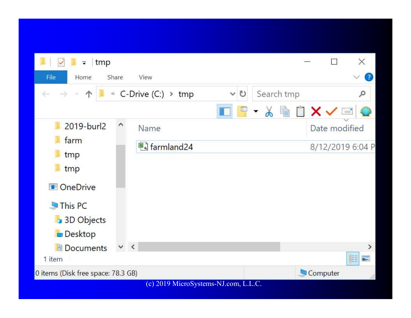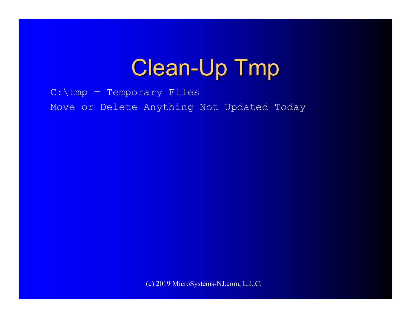# Clean-Up Tmp

C:\tmp = Temporary FilesMove or Delete Anything Not Updated Today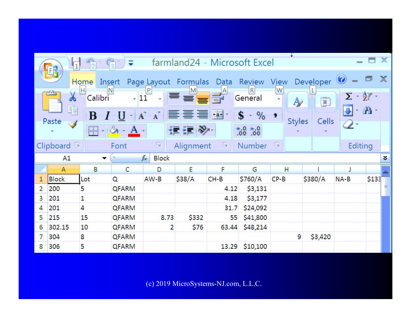|                |                                      |               | ₹          |                                         |           | farmland24 - Microsoft Excel |                         |                         |                        |                                 |                |             |
|----------------|--------------------------------------|---------------|------------|-----------------------------------------|-----------|------------------------------|-------------------------|-------------------------|------------------------|---------------------------------|----------------|-------------|
|                | EA                                   | Home          | Insert     | Page Layout Formulas                    |           | Data                         | Review                  | View                    | Developer <sup>0</sup> |                                 |                | $\mathbf x$ |
|                | فأتكن<br>X                           | H <br>Calibri | N<br>$-11$ | $\mathsf{P}$<br>$\overline{\mathbf{v}}$ | M         | A<br>9                       | $\mathsf R$<br>General  | W<br>¥,<br>$\mathbb{A}$ | $\Box$                 | $\Sigma$ - $\frac{\Delta}{2}$ - |                |             |
|                | h<br>Paste                           | B             |            | $\mathbf{A}^{\top}$<br>$\mathbf{A}$     | 312 T     | $-21$                        | \$<br>$\%$<br>$\star$ . | ,<br><b>Styles</b>      | Cells                  |                                 | $\mathbf{a}$ . |             |
|                |                                      | <br>hH∤*      | ⇘<br>$- A$ |                                         |           |                              | 6.8                     |                         |                        | 2.                              |                |             |
|                | $\overline{\mathbb{R}}$<br>Clipboard |               | Font       | $\overline{\mathcal{M}}$                | Alignment | L <sup>29</sup>              | Number                  | 亙                       |                        | Editing                         |                |             |
|                | $f_x$<br>Block<br>A1<br>$\sim$<br>▼  |               |            |                                         |           |                              |                         |                         |                        |                                 |                |             |
|                |                                      |               |            |                                         |           |                              |                         |                         |                        |                                 |                |             |
|                | A                                    | B             | C          | D                                       | E         | F                            | G                       | H                       |                        |                                 |                |             |
| 1              | Block                                | Lot           | Q          | $AW-B$                                  | \$38/A    | $CH-B$                       | \$760/A                 | $CP-B$                  | \$380/A                | $NA-B$                          | \$135          |             |
| $\overline{2}$ | 200                                  | 5             | QFARM      |                                         |           | 4.12                         | \$3,131                 |                         |                        |                                 |                | ≣           |
| 3              | 201                                  | 1             | QFARM      |                                         |           | 4.18                         | \$3,177                 |                         |                        |                                 |                |             |
| 4              | 201                                  | 4             | QFARM      |                                         |           | 31.7                         | \$24,092                |                         |                        |                                 |                |             |
| 5              | 215                                  | 15            | QFARM      | 8.73                                    | \$332     | 55                           | \$41,800                |                         |                        |                                 |                |             |
| 6              | 302.15                               | 10            | QFARM      | 2                                       | \$76      | 63.44                        | \$48,214                |                         |                        |                                 |                |             |
| 7              | 304                                  | 8             | QFARM      |                                         |           |                              |                         | 9                       | \$3,420                |                                 |                |             |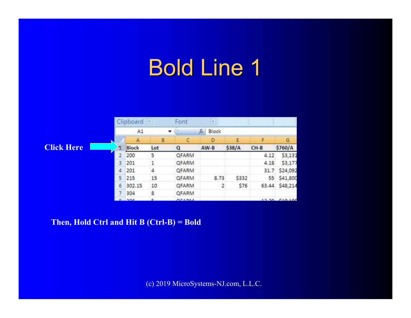# Bold Line 1

|                   |   | Clipboard<br><b>B</b> |         | Font         | <b>Car</b>    |        |        |               |
|-------------------|---|-----------------------|---------|--------------|---------------|--------|--------|---------------|
|                   |   | A1                    | $\cdot$ |              | Block.<br>fs. |        |        |               |
|                   |   | A                     | в       | с            | Ð             | Е      | F      | G             |
| <b>Click Here</b> |   | Block                 | Lot     | Q            | $AW-B$        | \$38/A | $CH-B$ | \$760/A       |
|                   | 2 | 200                   | 5       | QFARM        |               |        | 4.12   | \$3,131       |
|                   |   | 201                   |         | QFARM        |               |        | 4.18   | \$3,177       |
|                   | 4 | 201                   | 4       | <b>QFARM</b> |               |        | 31.7   | \$24,092      |
|                   | 5 | 215                   | 15      | QFARM        | 8.73          | \$332  | 55     | \$41,800      |
|                   | 6 | 302.15                | 10      | <b>QFARM</b> | $\mathbf{2}$  | \$76   | 63.44  | \$48,214      |
|                   |   | 304                   | 8       | QFARM        |               |        |        |               |
|                   |   | <b>Inne</b>           |         | OFADAL       |               |        |        | 13.30 610.100 |

**Then, Hold Ctrl and Hit B (Ctrl-B) = Bold**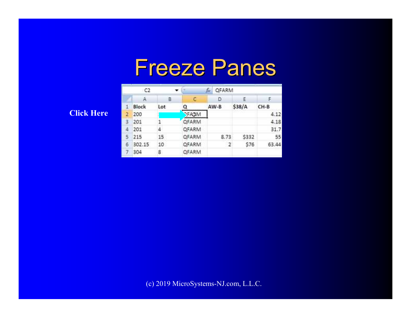#### Freeze Panes

#### **Click Here**

|               | C <sub>2</sub> | ▼   |               |        |        |       |
|---------------|----------------|-----|---------------|--------|--------|-------|
|               | $\mathbb A$    | B   | с             | D      | Ε      |       |
| $\mathbbm{1}$ | Block          | Lot |               | $AW-B$ | \$38/A | CH-B  |
| 2             | 200            |     | <b>JFAGIM</b> |        |        | 4.12  |
| 3             | 201            |     | <b>QFARM</b>  |        |        | 4.18  |
| 4             | 201            | 4   | QFARM         |        |        | 31.7  |
| 5             | 215            | 15  | <b>QFARM</b>  | 8.73   | \$332  | 55    |
| 6             | 302.15         | 10  | QFARM         | $-2$   | \$76   | 63.44 |
| $\tau$        | 304            | 8   | <b>QFARM</b>  |        |        |       |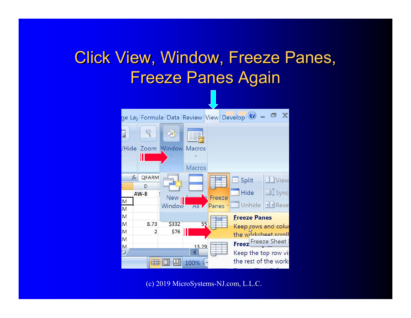#### Click View, Window, Freeze Panes, Freeze Panes Again

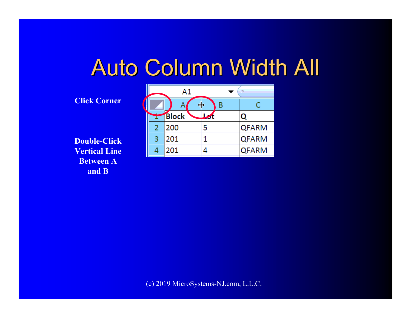#### Auto Column Width All

#### **Click Corner**

**Double-Click Vertical Line Between A and B**

|   | Α1    |   |              |  |  |  |  |
|---|-------|---|--------------|--|--|--|--|
|   |       |   | C            |  |  |  |  |
|   | Block |   |              |  |  |  |  |
| 2 | 200   | 5 | <b>QFARM</b> |  |  |  |  |
| 3 | 201   | 1 | <b>QFARM</b> |  |  |  |  |
| 4 | 201   |   | <b>QFARM</b> |  |  |  |  |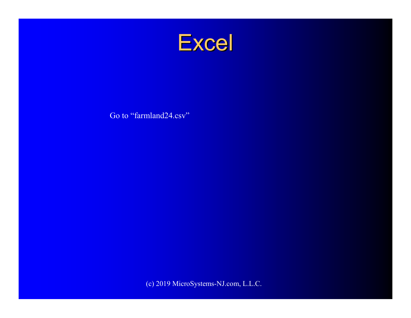

Go to "farmland24.csv"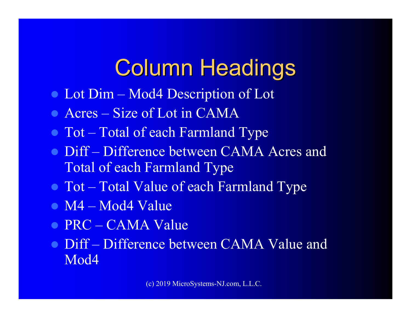# Column Headings

- Lot Dim Mod4 Description of Lot
- Acres Size of Lot in CAMA
- Tot Total of each Farmland Type
- Diff Difference between CAMA Acres and<br>Total of each Farmland Type Total of each Farmland Type
- Tot Total Value of each Farmland Type
- M4 Mod4 Value
- PRC CAMA Value
- Diff Difference between CAMA Value and<br>Mod4 Mod<sub>4</sub>